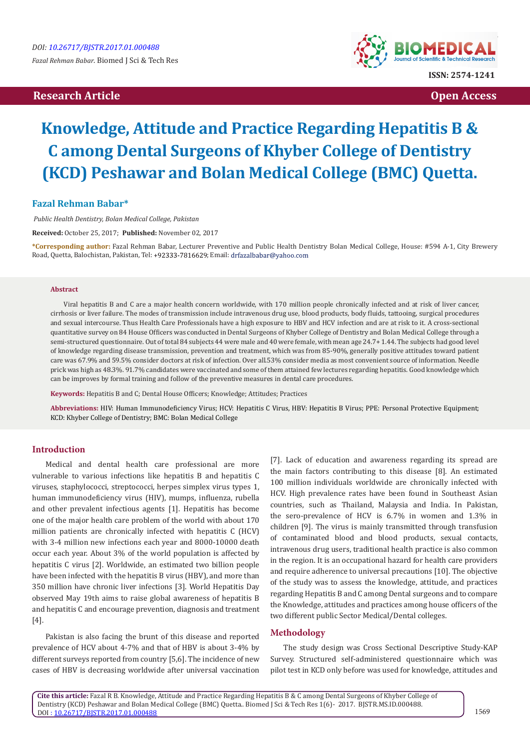# **Research Article Community Community Community Community Community Community Community Community Community Community Community Community Community Community Community Community Community Community Community Community Com**



# **Knowledge, Attitude and Practice Regarding Hepatitis B & C among Dental Surgeons of Khyber College of Dentistry (KCD) Peshawar and Bolan Medical College (BMC) Quetta.**

# **Fazal Rehman Babar\***

 *Public Health Dentistry, Bolan Medical College, Pakistan* 

**Received:** October 25, 2017; **Published:** November 02, 2017

**\*Corresponding author:** Fazal Rehman Babar, Lecturer Preventive and Public Health Dentistry Bolan Medical College, House: #594 A-1, City Brewery Road, Quetta, Balochistan, Pakistan, Tel: +92333-7816629; Email: drfazalbabar@yahoo.com

### **Abstract**

Viral hepatitis B and C are a major health concern worldwide, with 170 million people chronically infected and at risk of liver cancer, cirrhosis or liver failure. The modes of transmission include intravenous drug use, blood products, body fluids, tattooing, surgical procedures and sexual intercourse. Thus Health Care Professionals have a high exposure to HBV and HCV infection and are at risk to it. A cross-sectional quantitative survey on 84 House Officers was conducted in Dental Surgeons of Khyber College of Dentistry and Bolan Medical College through a semi-structured questionnaire. Out of total 84 subjects 44 were male and 40 were female, with mean age 24.7+ 1.44. The subjects had good level of knowledge regarding disease transmission, prevention and treatment, which was from 85-90%, generally positive attitudes toward patient care was 67.9% and 59.5% consider doctors at risk of infection. Over all.53% consider media as most convenient source of information. Needle prick was high as 48.3%. 91.7% candidates were vaccinated and some of them attained few lectures regarding hepatitis. Good knowledge which can be improves by formal training and follow of the preventive measures in dental care procedures.

**Keywords:** Hepatitis B and C; Dental House Officers; Knowledge; Attitudes; Practices

**Abbreviations:** HIV: Human Immunodeficiency Virus; HCV: Hepatitis C Virus, HBV: Hepatitis B Virus; PPE: Personal Protective Equipment; KCD: Khyber College of Dentistry; BMC: Bolan Medical College

# **Introduction**

Medical and dental health care professional are more vulnerable to various infections like hepatitis B and hepatitis C viruses, staphylococci, streptococci, herpes simplex virus types 1, human immunodeficiency virus (HIV), mumps, influenza, rubella and other prevalent infectious agents [1]. Hepatitis has become one of the major health care problem of the world with about 170 million patients are chronically infected with hepatitis C (HCV) with 3-4 million new infections each year and 8000-10000 death occur each year. About 3% of the world population is affected by hepatitis C virus [2]. Worldwide, an estimated two billion people have been infected with the hepatitis B virus (HBV), and more than 350 million have chronic liver infections [3]. World Hepatitis Day observed May 19th aims to raise global awareness of hepatitis B and hepatitis C and encourage prevention, diagnosis and treatment [4].

Pakistan is also facing the brunt of this disease and reported prevalence of HCV about 4-7% and that of HBV is about 3-4% by different surveys reported from country [5,6]. The incidence of new cases of HBV is decreasing worldwide after universal vaccination

[7]. Lack of education and awareness regarding its spread are the main factors contributing to this disease [8]. An estimated 100 million individuals worldwide are chronically infected with HCV. High prevalence rates have been found in Southeast Asian countries, such as Thailand, Malaysia and India. In Pakistan, the sero-prevalence of HCV is 6.7% in women and 1.3% in children [9]. The virus is mainly transmitted through transfusion of contaminated blood and blood products, sexual contacts, intravenous drug users, traditional health practice is also common in the region. It is an occupational hazard for health care providers and require adherence to universal precautions [10]. The objective of the study was to assess the knowledge, attitude, and practices regarding Hepatitis B and C among Dental surgeons and to compare the Knowledge, attitudes and practices among house officers of the two different public Sector Medical/Dental colleges.

#### **Methodology**

The study design was Cross Sectional Descriptive Study-KAP Survey. Structured self-administered questionnaire which was pilot test in KCD only before was used for knowledge, attitudes and

**Cite this article:** Fazal R B. Knowledge, Attitude and Practice Regarding Hepatitis B & C among Dental Surgeons of Khyber College of Dentistry (KCD) Peshawar and Bolan Medical College (BMC) Quetta.. Biomed J Sci & Tech Res 1(6)- 2017. BJSTR.MS.ID.000488. DOI [: 10.26717/BJSTR.2017.01.000488](http://dx.doi.org/10.26717/BJSTR.2017.01.000488)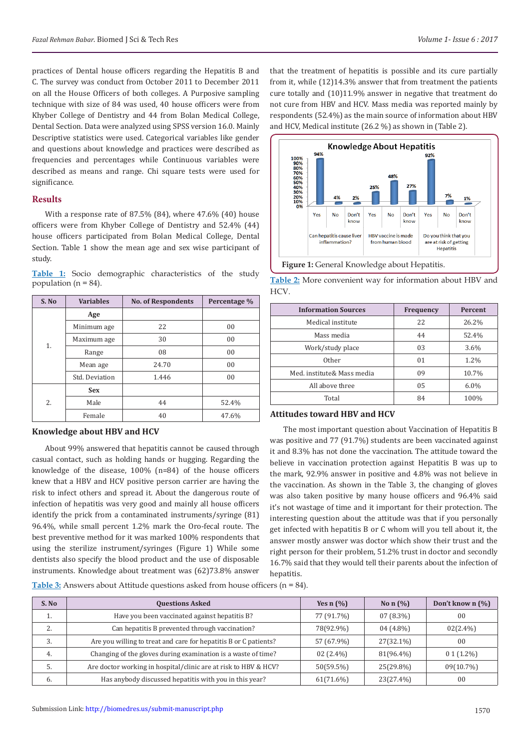practices of Dental house officers regarding the Hepatitis B and C. The survey was conduct from October 2011 to December 2011 on all the House Officers of both colleges. A Purposive sampling technique with size of 84 was used, 40 house officers were from Khyber College of Dentistry and 44 from Bolan Medical College, Dental Section. Data were analyzed using SPSS version 16.0. Mainly Descriptive statistics were used. Categorical variables like gender and questions about knowledge and practices were described as frequencies and percentages while Continuous variables were described as means and range. Chi square tests were used for significance.

#### **Results**

With a response rate of 87.5% (84), where 47.6% (40) house officers were from Khyber College of Dentistry and 52.4% (44) house officers participated from Bolan Medical College, Dental Section. Table 1 show the mean age and sex wise participant of study.

**Table 1:** Socio demographic characteristics of the study population ( $n = 84$ ).

| S. No | <b>Variables</b> | <b>No. of Respondents</b> | Percentage % |
|-------|------------------|---------------------------|--------------|
|       | Age              |                           |              |
|       | Minimum age      | 22                        | 00           |
|       | Maximum age      | 30                        | 00           |
| 1.    | Range            | 08                        | 00           |
|       | Mean age         | 24.70                     | 00           |
|       | Std. Deviation   | 1.446                     | 00           |
| 2.    | <b>Sex</b>       |                           |              |
|       | Male             | 44                        | 52.4%        |
|       | Female           | 40                        | 47.6%        |

#### **Knowledge about HBV and HCV**

About 99% answered that hepatitis cannot be caused through casual contact, such as holding hands or hugging. Regarding the knowledge of the disease, 100% (n=84) of the house officers knew that a HBV and HCV positive person carrier are having the risk to infect others and spread it. About the dangerous route of infection of hepatitis was very good and mainly all house officers identify the prick from a contaminated instruments/syringe (81) 96.4%, while small percent 1.2% mark the Oro-fecal route. The best preventive method for it was marked 100% respondents that using the sterilize instrument/syringes (Figure 1) While some dentists also specify the blood product and the use of disposable instruments. Knowledge about treatment was (62)73.8% answer

that the treatment of hepatitis is possible and its cure partially from it, while (12)14.3% answer that from treatment the patients cure totally and (10)11.9% answer in negative that treatment do not cure from HBV and HCV. Mass media was reported mainly by respondents (52.4%) as the main source of information about HBV and HCV, Medical institute (26.2 %) as shown in (Table 2).



**Table 2:** More convenient way for information about HBV and HCV.

| <b>Information Sources</b> | <b>Frequency</b> | <b>Percent</b> |
|----------------------------|------------------|----------------|
| Medical institute          | 22               | 26.2%          |
| Mass media                 | 44               | 52.4%          |
| Work/study place           | 03               | $3.6\%$        |
| Other                      | 0 <sub>1</sub>   | 1.2%           |
| Med. institute& Mass media | 09               | 10.7%          |
| All above three            | 05               | $6.0\%$        |
| Total                      | 84               | 100%           |

# **Attitudes toward HBV and HCV**

The most important question about Vaccination of Hepatitis B was positive and 77 (91.7%) students are been vaccinated against it and 8.3% has not done the vaccination. The attitude toward the believe in vaccination protection against Hepatitis B was up to the mark, 92.9% answer in positive and 4.8% was not believe in the vaccination. As shown in the Table 3, the changing of gloves was also taken positive by many house officers and 96.4% said it's not wastage of time and it important for their protection. The interesting question about the attitude was that if you personally get infected with hepatitis B or C whom will you tell about it, the answer mostly answer was doctor which show their trust and the right person for their problem, 51.2% trust in doctor and secondly 16.7% said that they would tell their parents about the infection of hepatitis.

**Table 3:** Answers about Attitude questions asked from house officers (n = 84).

| S. No | <b>Questions Asked</b>                                           | Yes $n(\%)$ | No n $(%$   | Don't know $n$ $\left(\frac{0}{0}\right)$ |
|-------|------------------------------------------------------------------|-------------|-------------|-------------------------------------------|
| ٠.    | Have you been vaccinated against hepatitis B?                    | 77 (91.7%)  | $07(8.3\%)$ | 0 <sub>0</sub>                            |
| z.    | Can hepatitis B prevented through vaccination?                   | 78(92.9%)   | $04(4.8\%)$ | $02(2.4\%)$                               |
| 3.    | Are you willing to treat and care for hepatitis B or C patients? | 57 (67.9%)  | 27(32.1%)   | 0 <sub>0</sub>                            |
| 4.    | Changing of the gloves during examination is a waste of time?    | $02(2.4\%)$ | 81(96.4%)   | $0.1(1.2\%)$                              |
| 5.    | Are doctor working in hospital/clinic are at risk to HBV & HCV?  | 50(59.5%)   | 25(29.8%)   | $09(10.7\%)$                              |
| 6.    | Has anybody discussed hepatitis with you in this year?           | 61(71.6%)   | 23(27.4%)   | 0 <sub>0</sub>                            |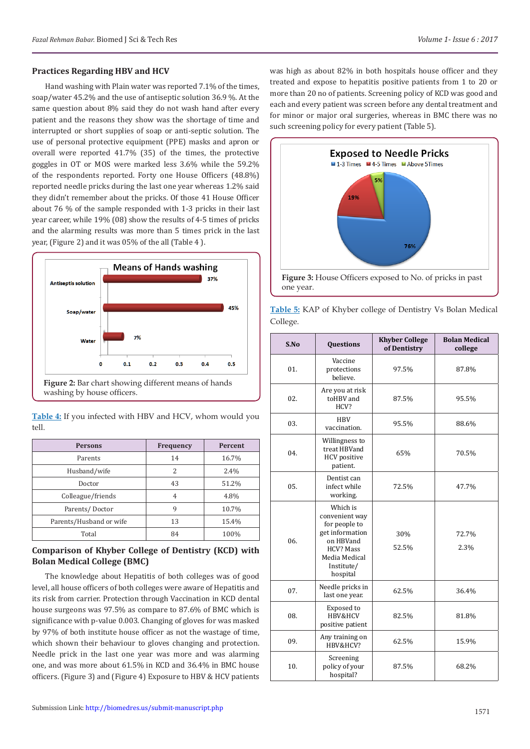#### **Practices Regarding HBV and HCV**

Hand washing with Plain water was reported 7.1% of the times, soap/water 45.2% and the use of antiseptic solution 36.9 %. At the same question about 8% said they do not wash hand after every patient and the reasons they show was the shortage of time and interrupted or short supplies of soap or anti-septic solution. The use of personal protective equipment (PPE) masks and apron or overall were reported 41.7% (35) of the times, the protective goggles in OT or MOS were marked less 3.6% while the 59.2% of the respondents reported. Forty one House Officers (48.8%) reported needle pricks during the last one year whereas 1.2% said they didn't remember about the pricks. Of those 41 House Officer about 76 % of the sample responded with 1-3 pricks in their last year career, while 19% (08) show the results of 4-5 times of pricks and the alarming results was more than 5 times prick in the last year, (Figure 2) and it was 05% of the all (Table 4 ).



| Table 4: If you infected with HBV and HCV, whom would you |  |  |  |
|-----------------------------------------------------------|--|--|--|
| tell.                                                     |  |  |  |

| <b>Persons</b>          | <b>Frequency</b> | <b>Percent</b> |
|-------------------------|------------------|----------------|
| Parents                 | 14               | 16.7%          |
| Husband/wife            | 2                | 2.4%           |
| Doctor                  | 43               | 51.2%          |
| Colleague/friends       | 4                | 4.8%           |
| Parents/Doctor          | 9                | 10.7%          |
| Parents/Husband or wife | 13               | 15.4%          |
| Total                   | 84               | 100%           |

# **Comparison of Khyber College of Dentistry (KCD) with Bolan Medical College (BMC)**

The knowledge about Hepatitis of both colleges was of good level, all house officers of both colleges were aware of Hepatitis and its risk from carrier. Protection through Vaccination in KCD dental house surgeons was 97.5% as compare to 87.6% of BMC which is significance with p-value 0.003. Changing of gloves for was masked by 97% of both institute house officer as not the wastage of time, which shown their behaviour to gloves changing and protection. Needle prick in the last one year was more and was alarming one, and was more about 61.5% in KCD and 36.4% in BMC house officers. (Figure 3) and (Figure 4) Exposure to HBV & HCV patients

was high as about 82% in both hospitals house officer and they treated and expose to hepatitis positive patients from 1 to 20 or more than 20 no of patients. Screening policy of KCD was good and each and every patient was screen before any dental treatment and for minor or major oral surgeries, whereas in BMC there was no such screening policy for every patient (Table 5).



one year.

| Table 5: KAP of Khyber college of Dentistry Vs Bolan Medical |  |  |  |  |
|--------------------------------------------------------------|--|--|--|--|
| College.                                                     |  |  |  |  |

| S.No | Questions                                                                                                                                  | <b>Khyber College</b><br>of Dentistry | <b>Bolan Medical</b><br>college |
|------|--------------------------------------------------------------------------------------------------------------------------------------------|---------------------------------------|---------------------------------|
| 01.  | Vaccine<br>protections<br>believe.                                                                                                         | 97.5%                                 | 87.8%                           |
| 02.  | Are you at risk<br>toHBV and<br>HCV?                                                                                                       | 87.5%                                 | 95.5%                           |
| 03.  | <b>HBV</b><br>vaccination.                                                                                                                 | 95.5%                                 | 88.6%                           |
| 04.  | Willingness to<br>treat HBVand<br><b>HCV</b> positive<br>patient.                                                                          | 65%                                   | 70.5%                           |
| 0.5. | Dentist can<br>infect while<br>working.                                                                                                    | 72.5%                                 | 47.7%                           |
| 06.  | Which is<br>convenient way<br>for people to<br>get information<br>on HBVand<br><b>HCV? Mass</b><br>Media Medical<br>Institute/<br>hospital | 30%<br>52.5%                          | 72.7%<br>2.3%                   |
| 07.  | Needle pricks in<br>last one year.                                                                                                         | 62.5%                                 | 36.4%                           |
| 08.  | Exposed to<br>HBV&HCV<br>positive patient                                                                                                  | 82.5%                                 | 81.8%                           |
| 09.  | Any training on<br>HBV&HCV?                                                                                                                | 62.5%                                 | 15.9%                           |
| 10.  | Screening<br>policy of your<br>hospital?                                                                                                   | 87.5%                                 | 68.2%                           |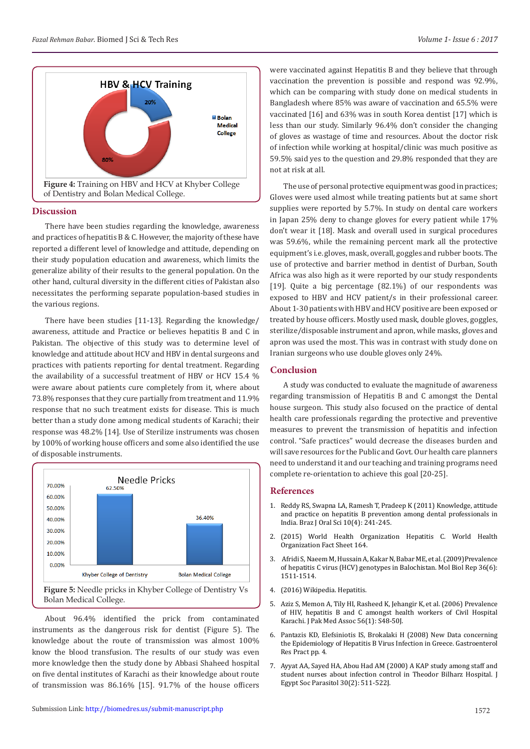

#### **Discussion**

There have been studies regarding the knowledge, awareness and practices of hepatitis B & C. However, the majority of these have reported a different level of knowledge and attitude, depending on their study population education and awareness, which limits the generalize ability of their results to the general population. On the other hand, cultural diversity in the different cities of Pakistan also necessitates the performing separate population-based studies in the various regions.

There have been studies [11-13]. Regarding the knowledge/ awareness, attitude and Practice or believes hepatitis B and C in Pakistan. The objective of this study was to determine level of knowledge and attitude about HCV and HBV in dental surgeons and practices with patients reporting for dental treatment. Regarding the availability of a successful treatment of HBV or HCV 15.4 % were aware about patients cure completely from it, where about 73.8% responses that they cure partially from treatment and 11.9% response that no such treatment exists for disease. This is much better than a study done among medical students of Karachi; their response was 48.2% [14]. Use of Sterilize instruments was chosen by 100% of working house officers and some also identified the use of disposable instruments.



About 96.4% identified the prick from contaminated instruments as the dangerous risk for dentist (Figure 5). The knowledge about the route of transmission was almost 100% know the blood transfusion. The results of our study was even more knowledge then the study done by Abbasi Shaheed hospital on five dental institutes of Karachi as their knowledge about route of transmission was 86.16% [15]. 91.7% of the house officers were vaccinated against Hepatitis B and they believe that through vaccination the prevention is possible and respond was 92.9%, which can be comparing with study done on medical students in Bangladesh where 85% was aware of vaccination and 65.5% were vaccinated [16] and 63% was in south Korea dentist [17] which is less than our study. Similarly 96.4% don't consider the changing of gloves as wastage of time and resources. About the doctor risk of infection while working at hospital/clinic was much positive as 59.5% said yes to the question and 29.8% responded that they are not at risk at all.

The use of personal protective equipment was good in practices; Gloves were used almost while treating patients but at same short supplies were reported by 5.7%. In study on dental care workers in Japan 25% deny to change gloves for every patient while 17% don't wear it [18]. Mask and overall used in surgical procedures was 59.6%, while the remaining percent mark all the protective equipment's i.e. gloves, mask, overall, goggles and rubber boots. The use of protective and barrier method in dentist of Durban, South Africa was also high as it were reported by our study respondents [19]. Quite a big percentage (82.1%) of our respondents was exposed to HBV and HCV patient/s in their professional career. About 1-30 patients with HBV and HCV positive are been exposed or treated by house officers. Mostly used mask, double gloves, goggles, sterilize/disposable instrument and apron, while masks, gloves and apron was used the most. This was in contrast with study done on Iranian surgeons who use double gloves only 24%.

# **Conclusion**

A study was conducted to evaluate the magnitude of awareness regarding transmission of Hepatitis B and C amongst the Dental house surgeon. This study also focused on the practice of dental health care professionals regarding the protective and preventive measures to prevent the transmission of hepatitis and infection control. "Safe practices" would decrease the diseases burden and will save resources for the Public and Govt. Our health care planners need to understand it and our teaching and training programs need complete re-orientation to achieve this goal [20-25].

# **References**

- 1. [Reddy RS, Swapna LA, Ramesh T, Pradeep K \(2011\) Knowledge, attitude](http://revodonto.bvsalud.org/scielo.php?pid=S1677-32252011000400004&script=sci_arttext&tlng=en) [and practice on hepatitis B prevention among dental professionals in](http://revodonto.bvsalud.org/scielo.php?pid=S1677-32252011000400004&script=sci_arttext&tlng=en) [India. Braz J Oral Sci 10\(4\): 241-245.](http://revodonto.bvsalud.org/scielo.php?pid=S1677-32252011000400004&script=sci_arttext&tlng=en)
- 2. (2015) World Health Organization Hepatitis C. World Health Organization Fact Sheet 164.
- 3. [Afridi S, Naeem M, Hussain A, Kakar N, Babar ME, et al. \(2009\)Prevalence](https://www.ncbi.nlm.nih.gov/pubmed/18766467) [of hepatitis C virus \(HCV\) genotypes in Balochistan. Mol Biol Rep 36\(6\):](https://www.ncbi.nlm.nih.gov/pubmed/18766467) [1511-1514.](https://www.ncbi.nlm.nih.gov/pubmed/18766467)
- 4. (2016) Wikipedia. Hepatitis.
- 5. [Aziz S, Memon A, Tily HI, Rasheed K, Jehangir K, et al. \(2006\) Prevalence](http://europepmc.org/abstract/med/16689485) [of HIV, hepatitis B and C amongst health workers of Civil Hospital](http://europepmc.org/abstract/med/16689485) [Karachi. J Pak Med Assoc 56\(1\): S48-50J.](http://europepmc.org/abstract/med/16689485)
- 6. [Pantazis KD, Elefsiniotis IS, Brokalaki H \(2008\) New Data concerning](https://www.hindawi.com/journals/grp/2008/580341/) [the Epidemiology of Hepatitis B Virus Infection in Greece. Gastroenterol](https://www.hindawi.com/journals/grp/2008/580341/) [Res Pract pp. 4.](https://www.hindawi.com/journals/grp/2008/580341/)
- 7. [Ayyat AA, Sayed HA, Abou Had AM \(2000\) A KAP study among staff and](http://europepmc.org/abstract/med/10946512) [student nurses about infection control in Theodor Bilharz Hospital. J](http://europepmc.org/abstract/med/10946512) [Egypt Soc Parasitol 30\(2\): 511-522J.](http://europepmc.org/abstract/med/10946512)